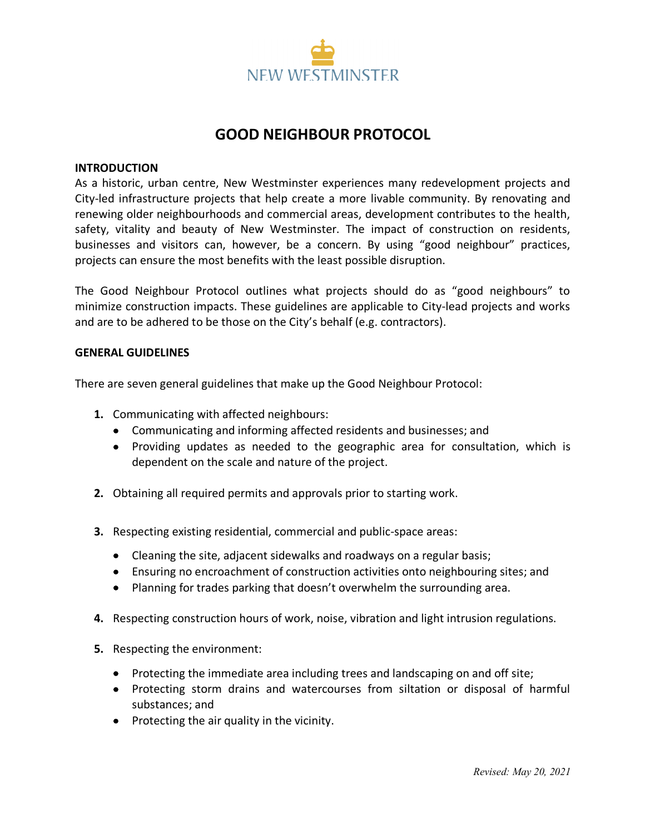

# **GOOD NEIGHBOUR PROTOCOL**

#### **INTRODUCTION**

As a historic, urban centre, New Westminster experiences many redevelopment projects and City-led infrastructure projects that help create a more livable community. By renovating and renewing older neighbourhoods and commercial areas, development contributes to the health, safety, vitality and beauty of New Westminster. The impact of construction on residents, businesses and visitors can, however, be a concern. By using "good neighbour" practices, projects can ensure the most benefits with the least possible disruption.

The Good Neighbour Protocol outlines what projects should do as "good neighbours" to minimize construction impacts. These guidelines are applicable to City-lead projects and works and are to be adhered to be those on the City's behalf (e.g. contractors).

#### **GENERAL GUIDELINES**

There are seven general guidelines that make up the Good Neighbour Protocol:

- **1.** Communicating with affected neighbours:
	- Communicating and informing affected residents and businesses; and
	- Providing updates as needed to the geographic area for consultation, which is dependent on the scale and nature of the project.
- **2.** Obtaining all required permits and approvals prior to starting work.
- **3.** Respecting existing residential, commercial and public-space areas:
	- Cleaning the site, adjacent sidewalks and roadways on a regular basis;
	- Ensuring no encroachment of construction activities onto neighbouring sites; and
	- Planning for trades parking that doesn't overwhelm the surrounding area.
- **4.** Respecting construction hours of work, noise, vibration and light intrusion regulations.
- **5.** Respecting the environment:
	- Protecting the immediate area including trees and landscaping on and off site;
	- Protecting storm drains and watercourses from siltation or disposal of harmful substances; and
	- Protecting the air quality in the vicinity.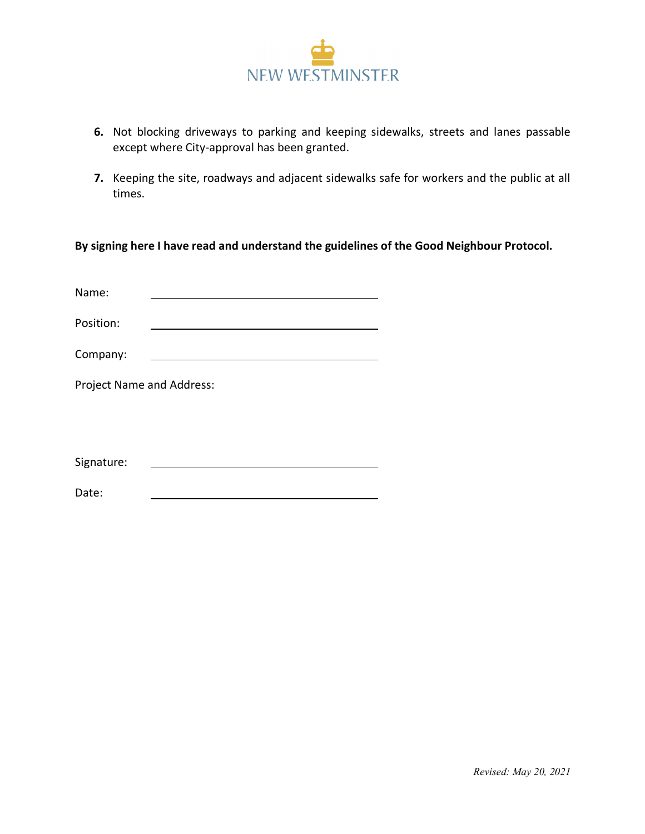

- **6.** Not blocking driveways to parking and keeping sidewalks, streets and lanes passable except where City-approval has been granted.
- **7.** Keeping the site, roadways and adjacent sidewalks safe for workers and the public at all times.

**By signing here I have read and understand the guidelines of the Good Neighbour Protocol.**

| Name:                     |  |  |  |  |  |  |
|---------------------------|--|--|--|--|--|--|
| Position:                 |  |  |  |  |  |  |
| Company:                  |  |  |  |  |  |  |
| Project Name and Address: |  |  |  |  |  |  |
|                           |  |  |  |  |  |  |
|                           |  |  |  |  |  |  |
| Signature:                |  |  |  |  |  |  |
| Date:                     |  |  |  |  |  |  |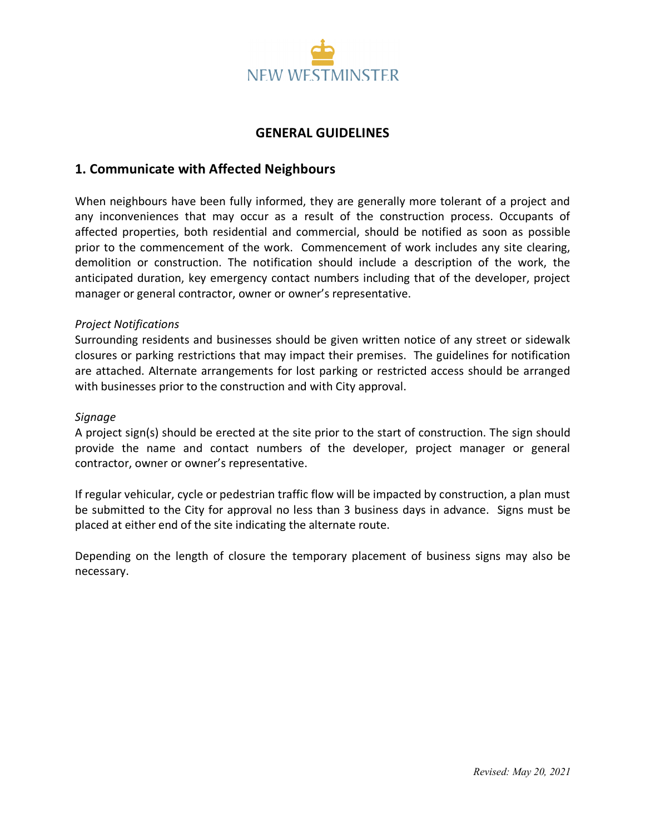

## **GENERAL GUIDELINES**

## **1. Communicate with Affected Neighbours**

When neighbours have been fully informed, they are generally more tolerant of a project and any inconveniences that may occur as a result of the construction process. Occupants of affected properties, both residential and commercial, should be notified as soon as possible prior to the commencement of the work. Commencement of work includes any site clearing, demolition or construction. The notification should include a description of the work, the anticipated duration, key emergency contact numbers including that of the developer, project manager or general contractor, owner or owner's representative.

### *Project Notifications*

Surrounding residents and businesses should be given written notice of any street or sidewalk closures or parking restrictions that may impact their premises. The guidelines for notification are attached. Alternate arrangements for lost parking or restricted access should be arranged with businesses prior to the construction and with City approval.

#### *Signage*

A project sign(s) should be erected at the site prior to the start of construction. The sign should provide the name and contact numbers of the developer, project manager or general contractor, owner or owner's representative.

If regular vehicular, cycle or pedestrian traffic flow will be impacted by construction, a plan must be submitted to the City for approval no less than 3 business days in advance. Signs must be placed at either end of the site indicating the alternate route.

Depending on the length of closure the temporary placement of business signs may also be necessary.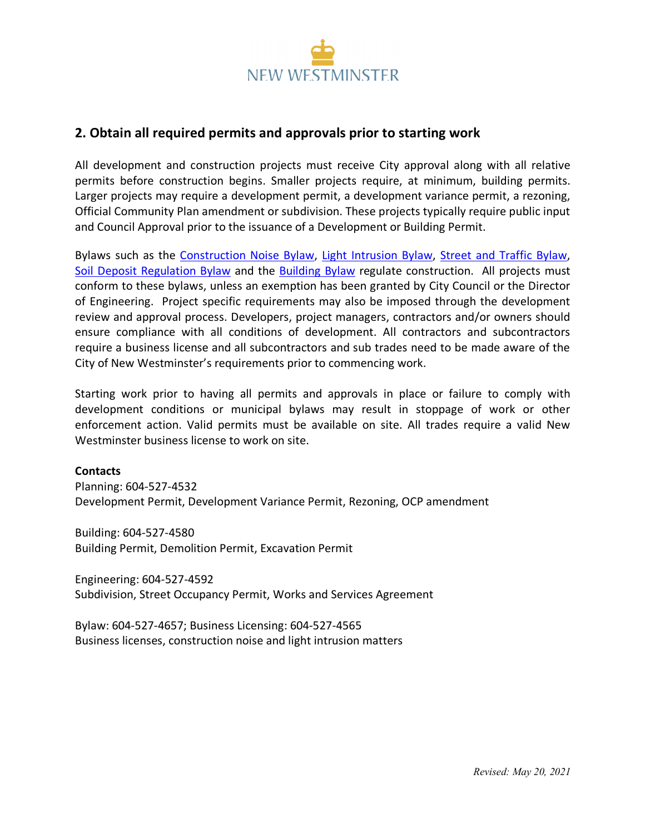

## **2. Obtain all required permits and approvals prior to starting work**

All development and construction projects must receive City approval along with all relative permits before construction begins. Smaller projects require, at minimum, building permits. Larger projects may require a development permit, a development variance permit, a rezoning, Official Community Plan amendment or subdivision. These projects typically require public input and Council Approval prior to the issuance of a Development or Building Permit.

Bylaws such as the Construction Noise Bylaw, Light Intrusion Bylaw, Street and Traffic Bylaw, Soil Deposit Regulation Bylaw and the Building Bylaw regulate construction. All projects must conform to these bylaws, unless an exemption has been granted by City Council or the Director of Engineering. Project specific requirements may also be imposed through the development review and approval process. Developers, project managers, contractors and/or owners should ensure compliance with all conditions of development. All contractors and subcontractors require a business license and all subcontractors and sub trades need to be made aware of the City of New Westminster's requirements prior to commencing work.

Starting work prior to having all permits and approvals in place or failure to comply with development conditions or municipal bylaws may result in stoppage of work or other enforcement action. Valid permits must be available on site. All trades require a valid New Westminster business license to work on site.

#### **Contacts**

Planning: 604-527-4532 Development Permit, Development Variance Permit, Rezoning, OCP amendment

Building: 604-527-4580 Building Permit, Demolition Permit, Excavation Permit

Engineering: 604-527-4592 Subdivision, Street Occupancy Permit, Works and Services Agreement

Bylaw: 604-527-4657; Business Licensing: 604-527-4565 Business licenses, construction noise and light intrusion matters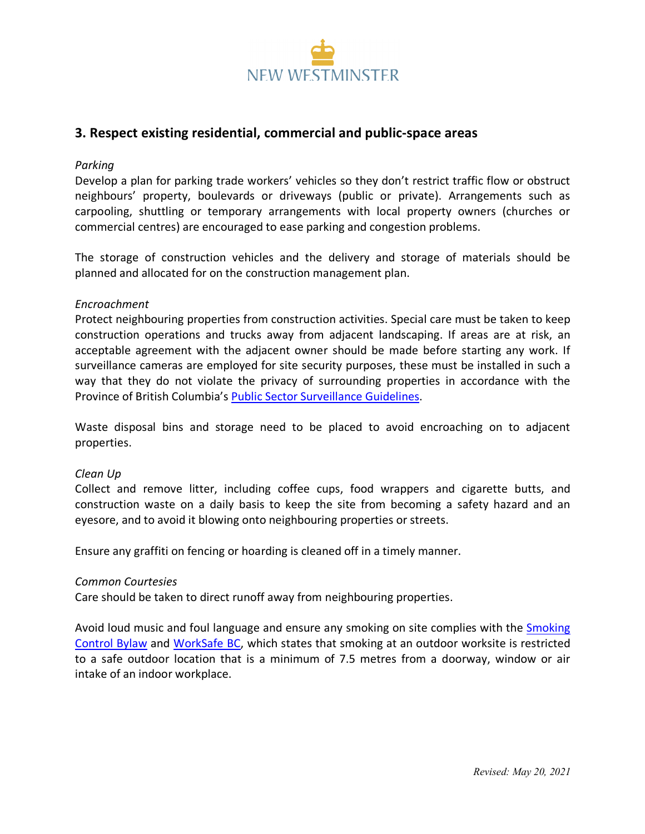

## **3. Respect existing residential, commercial and public-space areas**

#### *Parking*

Develop a plan for parking trade workers' vehicles so they don't restrict traffic flow or obstruct neighbours' property, boulevards or driveways (public or private). Arrangements such as carpooling, shuttling or temporary arrangements with local property owners (churches or commercial centres) are encouraged to ease parking and congestion problems.

The storage of construction vehicles and the delivery and storage of materials should be planned and allocated for on the construction management plan.

#### *Encroachment*

Protect neighbouring properties from construction activities. Special care must be taken to keep construction operations and trucks away from adjacent landscaping. If areas are at risk, an acceptable agreement with the adjacent owner should be made before starting any work. If surveillance cameras are employed for site security purposes, these must be installed in such a way that they do not violate the privacy of surrounding properties in accordance with the Province of British Columbia's Public Sector Surveillance Guidelines.

Waste disposal bins and storage need to be placed to avoid encroaching on to adjacent properties.

#### *Clean Up*

Collect and remove litter, including coffee cups, food wrappers and cigarette butts, and construction waste on a daily basis to keep the site from becoming a safety hazard and an eyesore, and to avoid it blowing onto neighbouring properties or streets.

Ensure any graffiti on fencing or hoarding is cleaned off in a timely manner.

#### *Common Courtesies*

Care should be taken to direct runoff away from neighbouring properties.

Avoid loud music and foul language and ensure any smoking on site complies with the Smoking Control Bylaw and WorkSafe BC, which states that smoking at an outdoor worksite is restricted to a safe outdoor location that is a minimum of 7.5 metres from a doorway, window or air intake of an indoor workplace.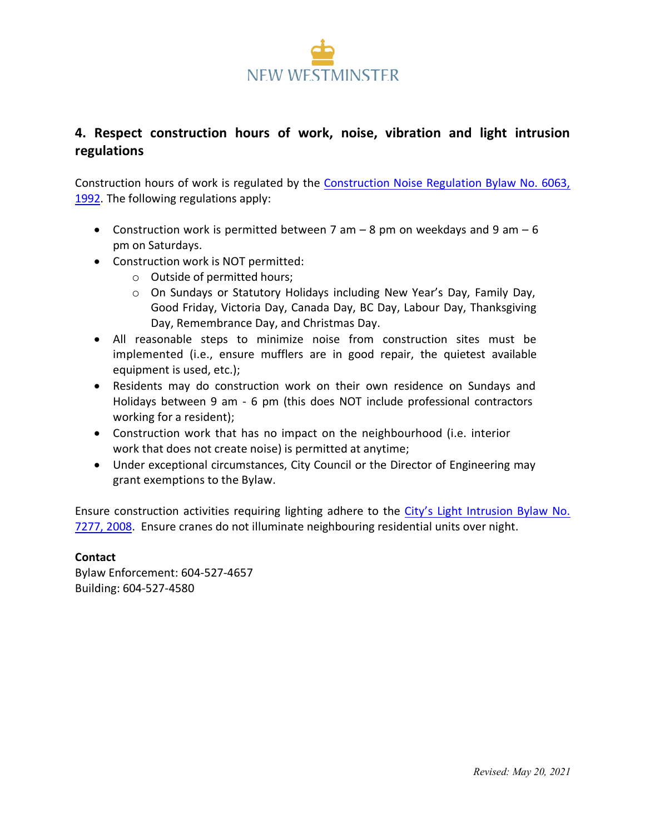

## **4. Respect construction hours of work, noise, vibration and light intrusion regulations**

Construction hours of work is regulated by the Construction Noise Regulation Bylaw No. 6063, 1992. The following regulations apply:

- Construction work is permitted between 7 am  $-$  8 pm on weekdays and 9 am  $-$  6 pm on Saturdays.
- Construction work is NOT permitted:
	- o Outside of permitted hours;
	- o On Sundays or Statutory Holidays including New Year's Day, Family Day, Good Friday, Victoria Day, Canada Day, BC Day, Labour Day, Thanksgiving Day, Remembrance Day, and Christmas Day.
- All reasonable steps to minimize noise from construction sites must be implemented (i.e., ensure mufflers are in good repair, the quietest available equipment is used, etc.);
- Residents may do construction work on their own residence on Sundays and Holidays between 9 am - 6 pm (this does NOT include professional contractors working for a resident);
- Construction work that has no impact on the neighbourhood (i.e. interior work that does not create noise) is permitted at anytime;
- Under exceptional circumstances, City Council or the Director of Engineering may grant exemptions to the Bylaw.

Ensure construction activities requiring lighting adhere to the City's Light Intrusion Bylaw No. 7277, 2008. Ensure cranes do not illuminate neighbouring residential units over night.

### **Contact**

Bylaw Enforcement: 604-527-4657 Building: 604-527-4580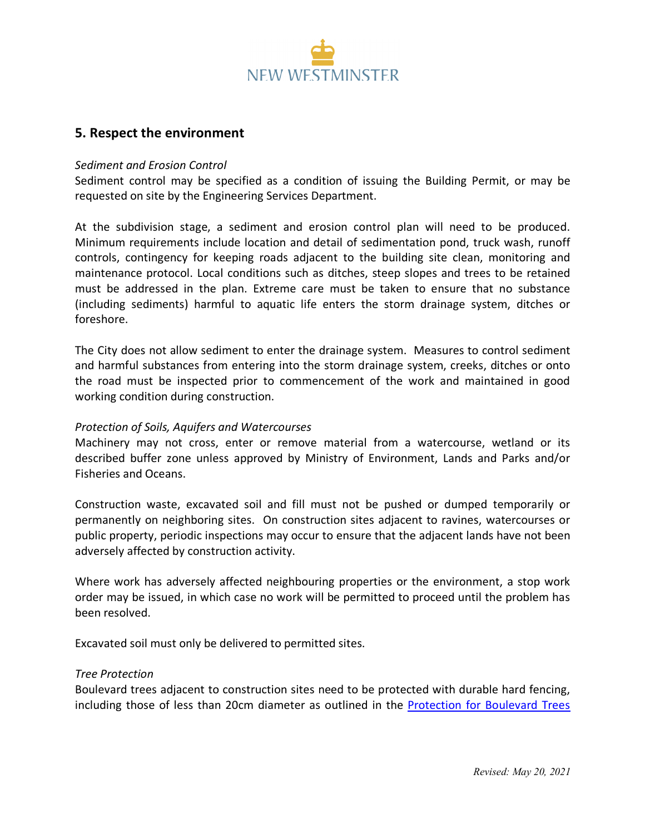

### **5. Respect the environment**

#### *Sediment and Erosion Control*

Sediment control may be specified as a condition of issuing the Building Permit, or may be requested on site by the Engineering Services Department.

At the subdivision stage, a sediment and erosion control plan will need to be produced. Minimum requirements include location and detail of sedimentation pond, truck wash, runoff controls, contingency for keeping roads adjacent to the building site clean, monitoring and maintenance protocol. Local conditions such as ditches, steep slopes and trees to be retained must be addressed in the plan. Extreme care must be taken to ensure that no substance (including sediments) harmful to aquatic life enters the storm drainage system, ditches or foreshore.

The City does not allow sediment to enter the drainage system. Measures to control sediment and harmful substances from entering into the storm drainage system, creeks, ditches or onto the road must be inspected prior to commencement of the work and maintained in good working condition during construction.

#### *Protection of Soils, Aquifers and Watercourses*

Machinery may not cross, enter or remove material from a watercourse, wetland or its described buffer zone unless approved by Ministry of Environment, Lands and Parks and/or Fisheries and Oceans.

Construction waste, excavated soil and fill must not be pushed or dumped temporarily or permanently on neighboring sites. On construction sites adjacent to ravines, watercourses or public property, periodic inspections may occur to ensure that the adjacent lands have not been adversely affected by construction activity.

Where work has adversely affected neighbouring properties or the environment, a stop work order may be issued, in which case no work will be permitted to proceed until the problem has been resolved.

Excavated soil must only be delivered to permitted sites.

#### *Tree Protection*

Boulevard trees adjacent to construction sites need to be protected with durable hard fencing, including those of less than 20cm diameter as outlined in the Protection for Boulevard Trees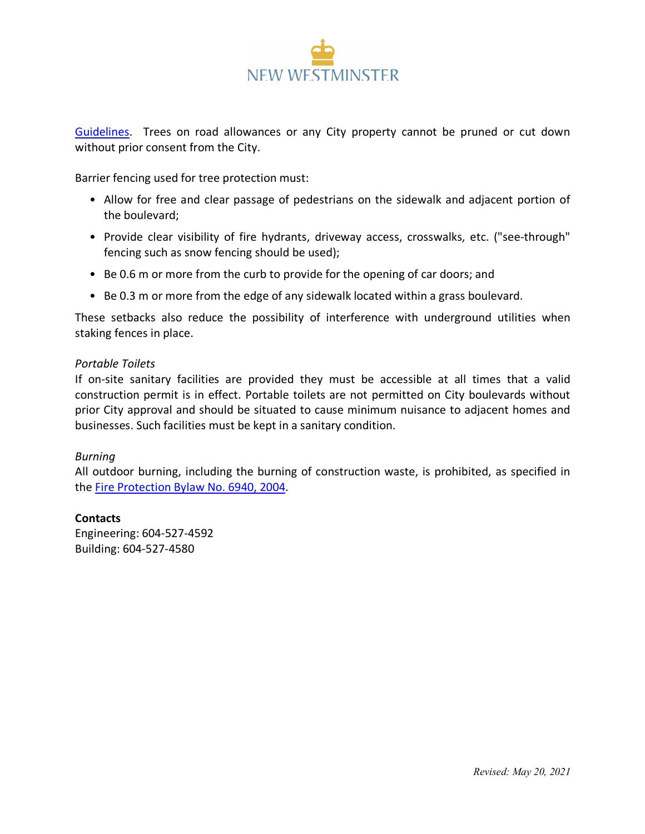

Guidelines. Trees on road allowances or any City property cannot be pruned or cut down without prior consent from the City.

Barrier fencing used for tree protection must:

- Allow for free and clear passage of pedestrians on the sidewalk and adjacent portion of the boulevard;
- Provide clear visibility of fire hydrants, driveway access, crosswalks, etc. ("see-through" fencing such as snow fencing should be used);
- Be 0.6 m or more from the curb to provide for the opening of car doors; and
- Be 0.3 m or more from the edge of any sidewalk located within a grass boulevard.

These setbacks also reduce the possibility of interference with underground utilities when staking fences in place.

#### *Portable Toilets*

If on-site sanitary facilities are provided they must be accessible at all times that a valid construction permit is in effect. Portable toilets are not permitted on City boulevards without prior City approval and should be situated to cause minimum nuisance to adjacent homes and businesses. Such facilities must be kept in a sanitary condition.

### *Burning*

All outdoor burning, including the burning of construction waste, is prohibited, as specified in the Fire Protection Bylaw No. 6940, 2004.

### **Contacts**

Engineering: 604-527-4592 Building: 604-527-4580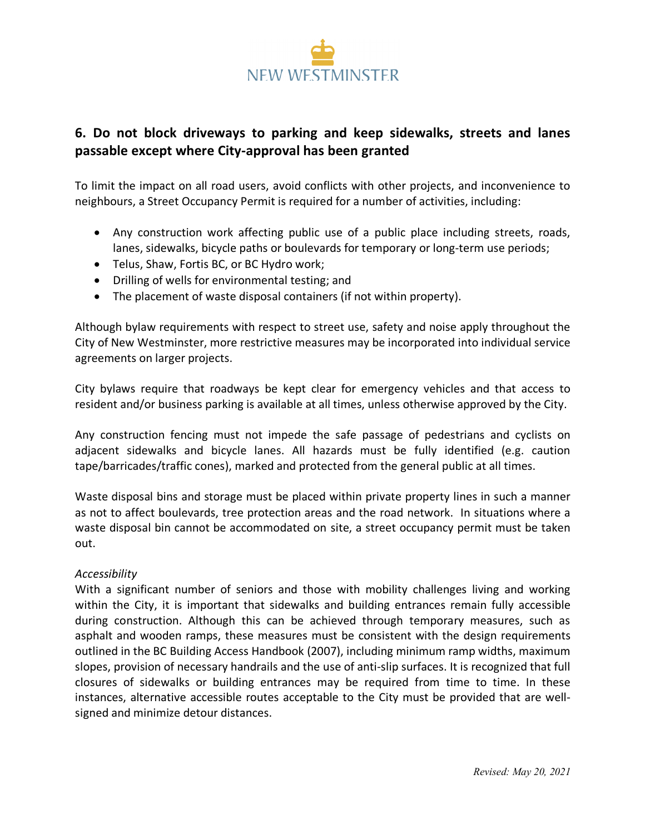

## **6. Do not block driveways to parking and keep sidewalks, streets and lanes passable except where City-approval has been granted**

To limit the impact on all road users, avoid conflicts with other projects, and inconvenience to neighbours, a Street Occupancy Permit is required for a number of activities, including:

- Any construction work affecting public use of a public place including streets, roads, lanes, sidewalks, bicycle paths or boulevards for temporary or long-term use periods;
- Telus, Shaw, Fortis BC, or BC Hydro work;
- Drilling of wells for environmental testing; and
- The placement of waste disposal containers (if not within property).

Although bylaw requirements with respect to street use, safety and noise apply throughout the City of New Westminster, more restrictive measures may be incorporated into individual service agreements on larger projects.

City bylaws require that roadways be kept clear for emergency vehicles and that access to resident and/or business parking is available at all times, unless otherwise approved by the City.

Any construction fencing must not impede the safe passage of pedestrians and cyclists on adjacent sidewalks and bicycle lanes. All hazards must be fully identified (e.g. caution tape/barricades/traffic cones), marked and protected from the general public at all times.

Waste disposal bins and storage must be placed within private property lines in such a manner as not to affect boulevards, tree protection areas and the road network. In situations where a waste disposal bin cannot be accommodated on site, a street occupancy permit must be taken out.

## *Accessibility*

With a significant number of seniors and those with mobility challenges living and working within the City, it is important that sidewalks and building entrances remain fully accessible during construction. Although this can be achieved through temporary measures, such as asphalt and wooden ramps, these measures must be consistent with the design requirements outlined in the BC Building Access Handbook (2007), including minimum ramp widths, maximum slopes, provision of necessary handrails and the use of anti-slip surfaces. It is recognized that full closures of sidewalks or building entrances may be required from time to time. In these instances, alternative accessible routes acceptable to the City must be provided that are wellsigned and minimize detour distances.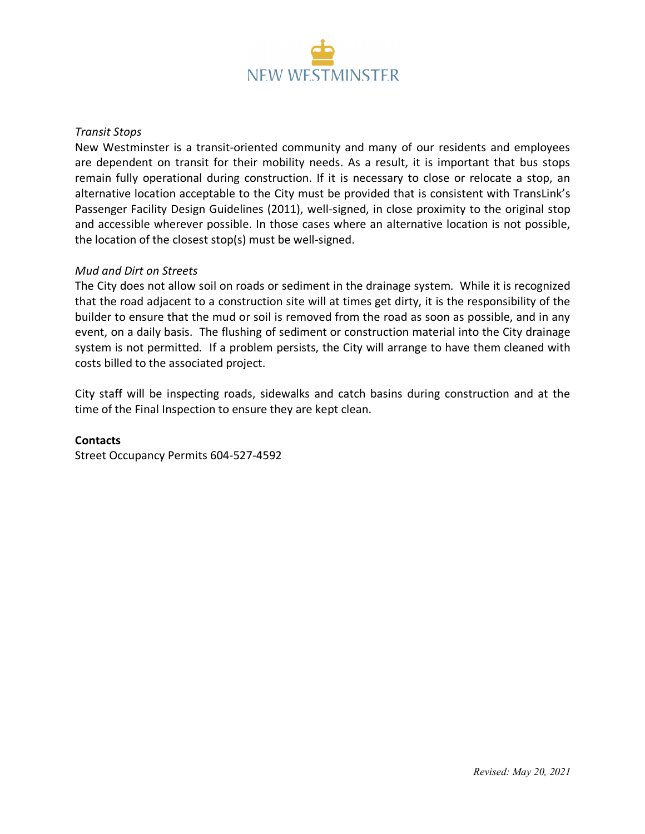

#### *Transit Stops*

New Westminster is a transit-oriented community and many of our residents and employees are dependent on transit for their mobility needs. As a result, it is important that bus stops remain fully operational during construction. If it is necessary to close or relocate a stop, an alternative location acceptable to the City must be provided that is consistent with TransLink's Passenger Facility Design Guidelines (2011), well-signed, in close proximity to the original stop and accessible wherever possible. In those cases where an alternative location is not possible, the location of the closest stop(s) must be well-signed.

#### *Mud and Dirt on Streets*

The City does not allow soil on roads or sediment in the drainage system. While it is recognized that the road adjacent to a construction site will at times get dirty, it is the responsibility of the builder to ensure that the mud or soil is removed from the road as soon as possible, and in any event, on a daily basis. The flushing of sediment or construction material into the City drainage system is not permitted. If a problem persists, the City will arrange to have them cleaned with costs billed to the associated project.

City staff will be inspecting roads, sidewalks and catch basins during construction and at the time of the Final Inspection to ensure they are kept clean.

#### **Contacts**

Street Occupancy Permits 604-527-4592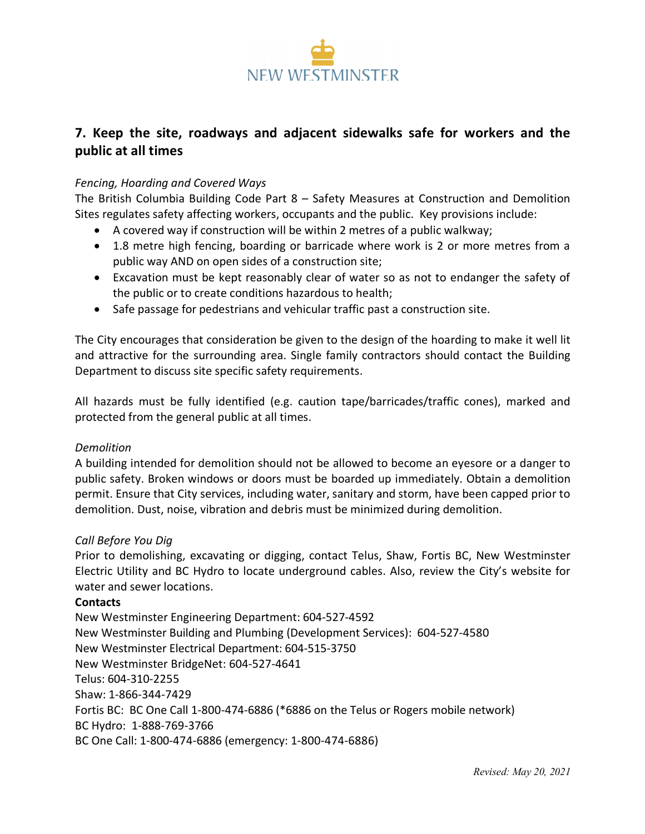

## **7. Keep the site, roadways and adjacent sidewalks safe for workers and the public at all times**

### *Fencing, Hoarding and Covered Ways*

The British Columbia Building Code Part 8 – Safety Measures at Construction and Demolition Sites regulates safety affecting workers, occupants and the public. Key provisions include:

- A covered way if construction will be within 2 metres of a public walkway;
- 1.8 metre high fencing, boarding or barricade where work is 2 or more metres from a public way AND on open sides of a construction site;
- Excavation must be kept reasonably clear of water so as not to endanger the safety of the public or to create conditions hazardous to health;
- Safe passage for pedestrians and vehicular traffic past a construction site.

The City encourages that consideration be given to the design of the hoarding to make it well lit and attractive for the surrounding area. Single family contractors should contact the Building Department to discuss site specific safety requirements.

All hazards must be fully identified (e.g. caution tape/barricades/traffic cones), marked and protected from the general public at all times.

### *Demolition*

A building intended for demolition should not be allowed to become an eyesore or a danger to public safety. Broken windows or doors must be boarded up immediately. Obtain a demolition permit. Ensure that City services, including water, sanitary and storm, have been capped prior to demolition. Dust, noise, vibration and debris must be minimized during demolition.

### *Call Before You Dig*

Prior to demolishing, excavating or digging, contact Telus, Shaw, Fortis BC, New Westminster Electric Utility and BC Hydro to locate underground cables. Also, review the City's website for water and sewer locations.

### **Contacts**

New Westminster Engineering Department: 604-527-4592 New Westminster Building and Plumbing (Development Services): 604-527-4580 New Westminster Electrical Department: 604-515-3750 New Westminster BridgeNet: 604-527-4641 Telus: 604-310-2255 Shaw: 1-866-344-7429 Fortis BC: BC One Call 1-800-474-6886 (\*6886 on the Telus or Rogers mobile network) BC Hydro: 1-888-769-3766 BC One Call: 1-800-474-6886 (emergency: 1-800-474-6886)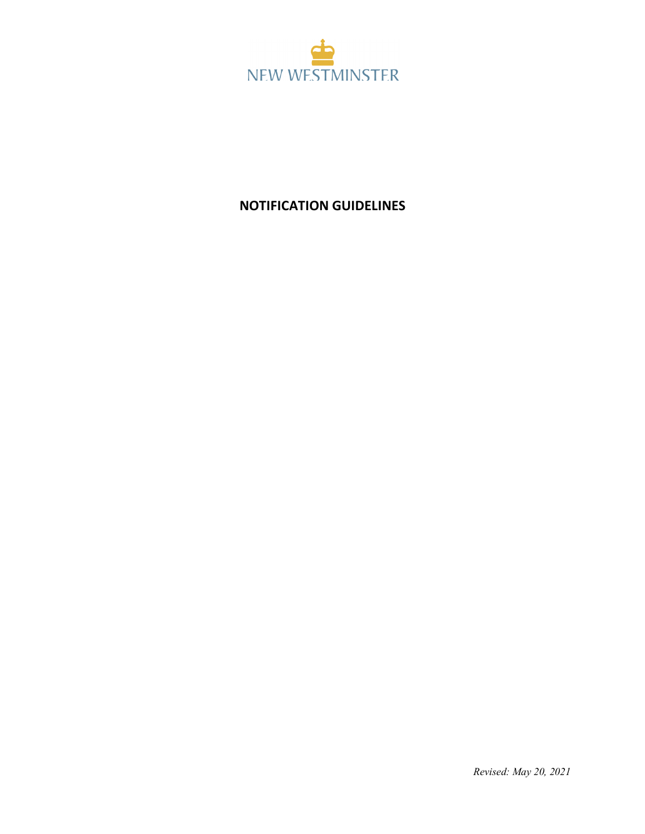

# **NOTIFICATION GUIDELINES**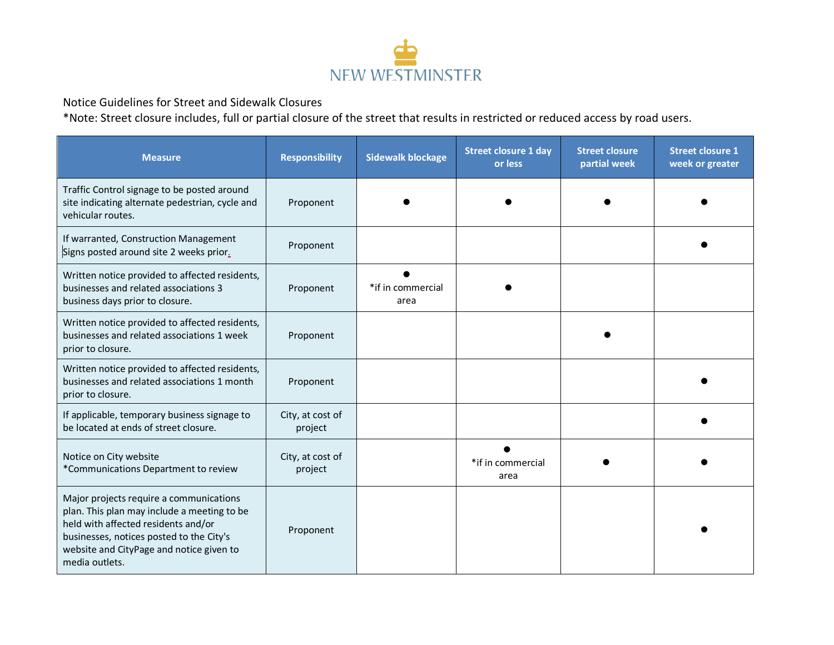

Notice Guidelines for Street and Sidewalk Closures

\*Note: Street closure includes, full or partial closure of the street that results in restricted or reduced access by road users.

| <b>Measure</b>                                                                                                                                                                                                                          | <b>Responsibility</b>       | <b>Sidewalk blockage</b>  | <b>Street closure 1 day</b><br>or less | <b>Street closure</b><br>partial week | <b>Street closure 1</b><br>week or greater |
|-----------------------------------------------------------------------------------------------------------------------------------------------------------------------------------------------------------------------------------------|-----------------------------|---------------------------|----------------------------------------|---------------------------------------|--------------------------------------------|
| Traffic Control signage to be posted around<br>site indicating alternate pedestrian, cycle and<br>vehicular routes.                                                                                                                     | Proponent                   |                           |                                        |                                       |                                            |
| If warranted, Construction Management<br>Signs posted around site 2 weeks prior.                                                                                                                                                        | Proponent                   |                           |                                        |                                       |                                            |
| Written notice provided to affected residents,<br>businesses and related associations 3<br>business days prior to closure.                                                                                                              | Proponent                   | *if in commercial<br>area |                                        |                                       |                                            |
| Written notice provided to affected residents,<br>businesses and related associations 1 week<br>prior to closure.                                                                                                                       | Proponent                   |                           |                                        |                                       |                                            |
| Written notice provided to affected residents,<br>businesses and related associations 1 month<br>prior to closure.                                                                                                                      | Proponent                   |                           |                                        |                                       |                                            |
| If applicable, temporary business signage to<br>be located at ends of street closure.                                                                                                                                                   | City, at cost of<br>project |                           |                                        |                                       |                                            |
| Notice on City website<br>*Communications Department to review                                                                                                                                                                          | City, at cost of<br>project |                           | *if in commercial<br>area              |                                       |                                            |
| Major projects require a communications<br>plan. This plan may include a meeting to be<br>held with affected residents and/or<br>businesses, notices posted to the City's<br>website and CityPage and notice given to<br>media outlets. | Proponent                   |                           |                                        |                                       |                                            |